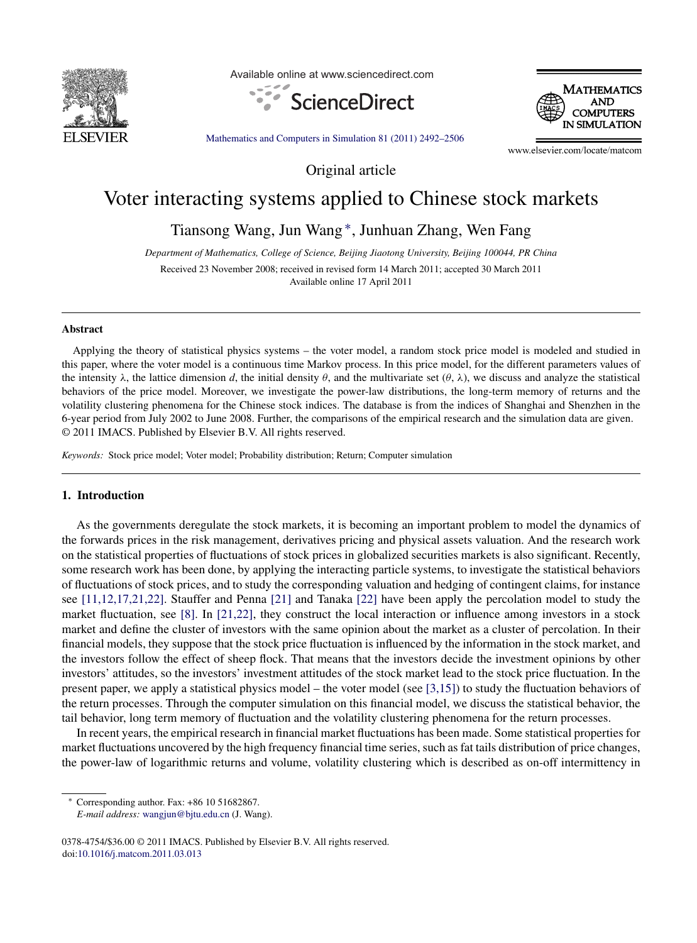

Available online at www.sciencedirect.com





[Mathematics](dx.doi.org/10.1016/j.matcom.2011.03.013) and Computers in Simulation 81 (2011) 2492–2506

www.elsevier.com/locate/matcom

Original article

## Voter interacting systems applied to Chinese stock markets

Tiansong Wang, Jun Wang <sup>∗</sup>, Junhuan Zhang, Wen Fang

*Department of Mathematics, College of Science, Beijing Jiaotong University, Beijing 100044, PR China*

Received 23 November 2008; received in revised form 14 March 2011; accepted 30 March 2011 Available online 17 April 2011

## **Abstract**

Applying the theory of statistical physics systems – the voter model, a random stock price model is modeled and studied in this paper, where the voter model is a continuous time Markov process. In this price model, for the different parameters values of the intensity  $\lambda$ , the lattice dimension *d*, the initial density  $\theta$ , and the multivariate set  $(\theta, \lambda)$ , we discuss and analyze the statistical behaviors of the price model. Moreover, we investigate the power-law distributions, the long-term memory of returns and the volatility clustering phenomena for the Chinese stock indices. The database is from the indices of Shanghai and Shenzhen in the 6-year period from July 2002 to June 2008. Further, the comparisons of the empirical research and the simulation data are given. © 2011 IMACS. Published by Elsevier B.V. All rights reserved.

*Keywords:* Stock price model; Voter model; Probability distribution; Return; Computer simulation

## **1. Introduction**

As the governments deregulate the stock markets, it is becoming an important problem to model the dynamics of the forwards prices in the risk management, derivatives pricing and physical assets valuation. And the research work on the statistical properties of fluctuations of stock prices in globalized securities markets is also significant. Recently, some research work has been done, by applying the interacting particle systems, to investigate the statistical behaviors of fluctuations of stock prices, and to study the corresponding valuation and hedging of contingent claims, for instance see [\[11,12,17,21,22\].](#page--1-0) Stauffer and Penna [\[21\]](#page--1-0) and Tanaka [\[22\]](#page--1-0) have been apply the percolation model to study the market fluctuation, see [\[8\].](#page--1-0) In [\[21,22\],](#page--1-0) they construct the local interaction or influence among investors in a stock market and define the cluster of investors with the same opinion about the market as a cluster of percolation. In their financial models, they suppose that the stock price fluctuation is influenced by the information in the stock market, and the investors follow the effect of sheep flock. That means that the investors decide the investment opinions by other investors' attitudes, so the investors' investment attitudes of the stock market lead to the stock price fluctuation. In the present paper, we apply a statistical physics model – the voter model (see  $(3,15)$ ) to study the fluctuation behaviors of the return processes. Through the computer simulation on this financial model, we discuss the statistical behavior, the tail behavior, long term memory of fluctuation and the volatility clustering phenomena for the return processes.

In recent years, the empirical research in financial market fluctuations has been made. Some statistical properties for market fluctuations uncovered by the high frequency financial time series, such as fat tails distribution of price changes, the power-law of logarithmic returns and volume, volatility clustering which is described as on-off intermittency in

<sup>∗</sup> Corresponding author. Fax: +86 10 51682867.

*E-mail address:* [wangjun@bjtu.edu.cn](mailto:wangjun@bjtu.edu.cn) (J. Wang).

<sup>0378-4754/\$36.00</sup> © 2011 IMACS. Published by Elsevier B.V. All rights reserved. doi[:10.1016/j.matcom.2011.03.013](dx.doi.org/10.1016/j.matcom.2011.03.013)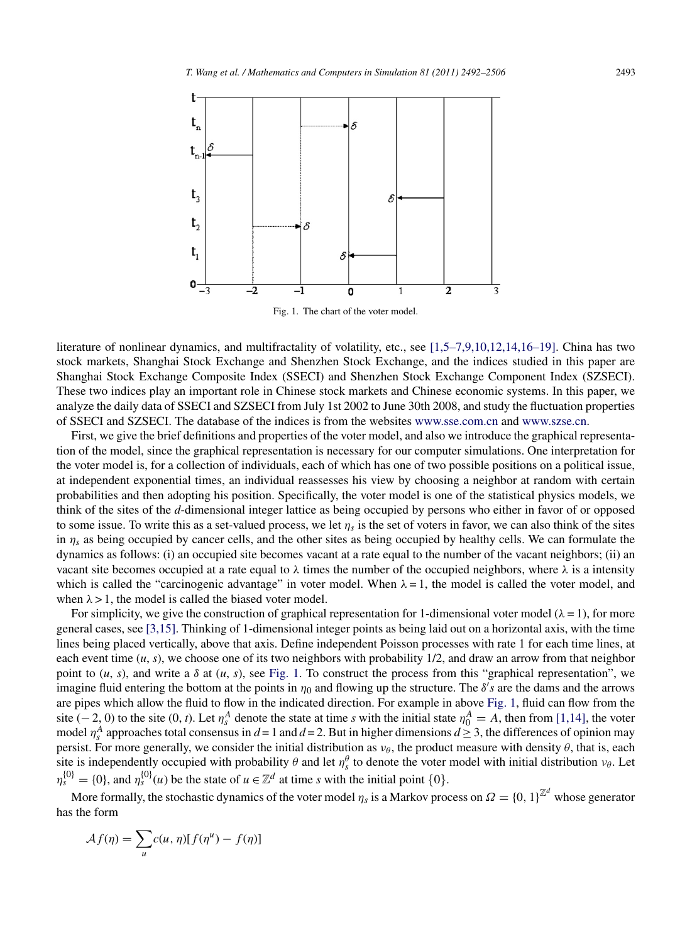

Fig. 1. The chart of the voter model.

literature of nonlinear dynamics, and multifractality of volatility, etc., see [\[1,5–7,9,10,12,14,16–19\].](#page--1-0) China has two stock markets, Shanghai Stock Exchange and Shenzhen Stock Exchange, and the indices studied in this paper are Shanghai Stock Exchange Composite Index (SSECI) and Shenzhen Stock Exchange Component Index (SZSECI). These two indices play an important role in Chinese stock markets and Chinese economic systems. In this paper, we analyze the daily data of SSECI and SZSECI from July 1st 2002 to June 30th 2008, and study the fluctuation properties of SSECI and SZSECI. The database of the indices is from the websites [www.sse.com.cn](http://www.sse.com.cn) and [www.szse.cn](http://www.szse.cn).

First, we give the brief definitions and properties of the voter model, and also we introduce the graphical representation of the model, since the graphical representation is necessary for our computer simulations. One interpretation for the voter model is, for a collection of individuals, each of which has one of two possible positions on a political issue, at independent exponential times, an individual reassesses his view by choosing a neighbor at random with certain probabilities and then adopting his position. Specifically, the voter model is one of the statistical physics models, we think of the sites of the *d*-dimensional integer lattice as being occupied by persons who either in favor of or opposed to some issue. To write this as a set-valued process, we let  $\eta_s$  is the set of voters in favor, we can also think of the sites in  $\eta_s$  as being occupied by cancer cells, and the other sites as being occupied by healthy cells. We can formulate the dynamics as follows: (i) an occupied site becomes vacant at a rate equal to the number of the vacant neighbors; (ii) an vacant site becomes occupied at a rate equal to *λ* times the number of the occupied neighbors, where *λ* is a intensity which is called the "carcinogenic advantage" in voter model. When  $\lambda = 1$ , the model is called the voter model, and when  $\lambda > 1$ , the model is called the biased voter model.

For simplicity, we give the construction of graphical representation for 1-dimensional voter model  $(\lambda = 1)$ , for more general cases, see [\[3,15\].](#page--1-0) Thinking of 1-dimensional integer points as being laid out on a horizontal axis, with the time lines being placed vertically, above that axis. Define independent Poisson processes with rate 1 for each time lines, at each event time (*u*, *s*), we choose one of its two neighbors with probability 1/2, and draw an arrow from that neighbor point to  $(u, s)$ , and write a  $\delta$  at  $(u, s)$ , see Fig. 1. To construct the process from this "graphical representation", we imagine fluid entering the bottom at the points in  $\eta_0$  and flowing up the structure. The  $\delta's$  are the dams and the arrows are pipes which allow the fluid to flow in the indicated direction. For example in above Fig. 1, fluid can flow from the site  $(-2, 0)$  to the site  $(0, t)$ . Let  $\eta_s^A$  denote the state at time *s* with the initial state  $\eta_0^A = A$ , then from [\[1,14\],](#page--1-0) the voter model  $\eta_s^A$  approaches total consensus in  $d = 1$  and  $d = 2$ . But in higher dimensions  $d \geq 3$ , the differences of opinion may persist. For more generally, we consider the initial distribution as  $v_{\theta}$ , the product measure with density  $\theta$ , that is, each site is independently occupied with probability  $\theta$  and let  $\eta_s^{\theta}$  to denote the voter model with initial distribution  $v_{\theta}$ . Let  $\eta_s^{\{0\}} = \{0\}$ , and  $\eta_s^{\{0\}}(u)$  be the state of  $u \in \mathbb{Z}^d$  at time *s* with the initial point  $\{0\}$ .

More formally, the stochastic dynamics of the voter model  $\eta_s$  is a Markov process on  $\Omega = \{0, 1\}^{\mathbb{Z}^d}$  whose generator has the form

$$
\mathcal{A}f(\eta) = \sum_{u} c(u, \eta) [f(\eta^u) - f(\eta)]
$$